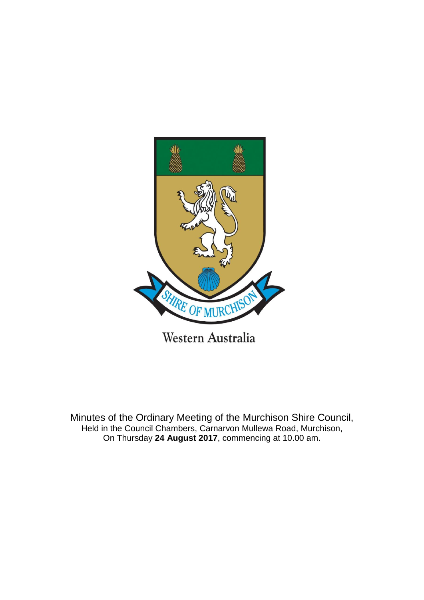

Minutes of the Ordinary Meeting of the Murchison Shire Council, Held in the Council Chambers, Carnarvon Mullewa Road, Murchison, On Thursday **24 August 2017**, commencing at 10.00 am.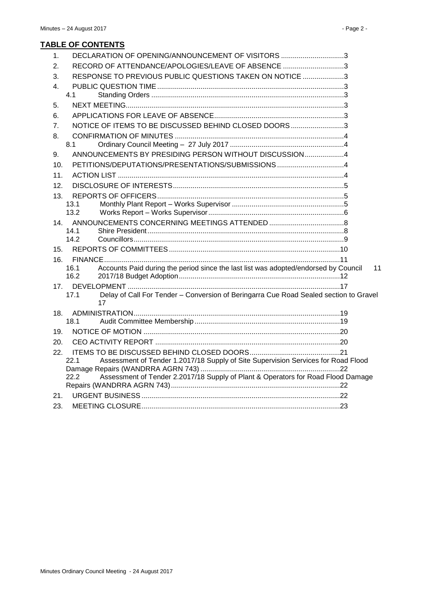| 1.              | DECLARATION OF OPENING/ANNOUNCEMENT OF VISITORS 3                                                   |    |
|-----------------|-----------------------------------------------------------------------------------------------------|----|
| 2.              | RECORD OF ATTENDANCE/APOLOGIES/LEAVE OF ABSENCE 3                                                   |    |
| 3.              | RESPONSE TO PREVIOUS PUBLIC QUESTIONS TAKEN ON NOTICE 3                                             |    |
| 4.              |                                                                                                     |    |
|                 | 4.1                                                                                                 |    |
| 5.              |                                                                                                     |    |
| 6.              |                                                                                                     |    |
| 7.              | NOTICE OF ITEMS TO BE DISCUSSED BEHIND CLOSED DOORS3                                                |    |
| 8.              |                                                                                                     |    |
|                 | 8.1                                                                                                 |    |
| 9.              | ANNOUNCEMENTS BY PRESIDING PERSON WITHOUT DISCUSSION4                                               |    |
| 10.             | PETITIONS/DEPUTATIONS/PRESENTATIONS/SUBMISSIONS 4                                                   |    |
| 11.             |                                                                                                     |    |
| 12.             |                                                                                                     |    |
| 13.             |                                                                                                     |    |
|                 | 13.1                                                                                                |    |
|                 | 13.2                                                                                                |    |
| 14 <sub>1</sub> |                                                                                                     |    |
|                 | 14.1<br>14.2                                                                                        |    |
| 15.             |                                                                                                     |    |
|                 |                                                                                                     |    |
| 16.             | Accounts Paid during the period since the last list was adopted/endorsed by Council<br>16.1         | 11 |
|                 | 16.2                                                                                                |    |
| 17.             |                                                                                                     |    |
|                 | Delay of Call For Tender - Conversion of Beringarra Cue Road Sealed section to Gravel<br>17.1<br>17 |    |
| 18.             |                                                                                                     |    |
|                 | 18.1                                                                                                |    |
| 19.             |                                                                                                     |    |
| 20.             |                                                                                                     |    |
| 22.             |                                                                                                     |    |
|                 | Assessment of Tender 1.2017/18 Supply of Site Supervision Services for Road Flood<br>22.1           |    |
|                 | Assessment of Tender 2.2017/18 Supply of Plant & Operators for Road Flood Damage<br>22.2            |    |
|                 |                                                                                                     |    |
| 21.             |                                                                                                     |    |
| 23.             |                                                                                                     |    |
|                 |                                                                                                     |    |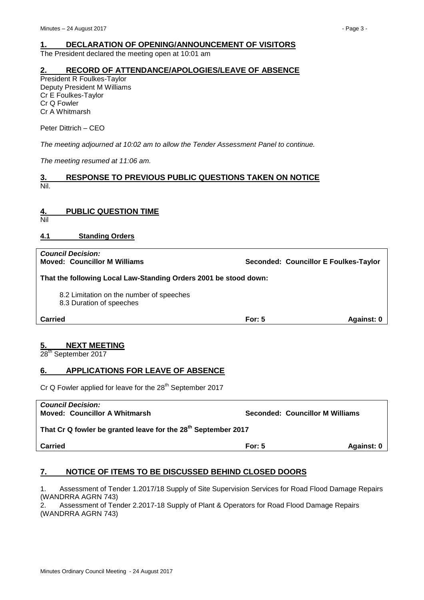# <span id="page-2-0"></span>**1. DECLARATION OF OPENING/ANNOUNCEMENT OF VISITORS**

The President declared the meeting open at 10:01 am

# <span id="page-2-1"></span>**2. RECORD OF ATTENDANCE/APOLOGIES/LEAVE OF ABSENCE**

President R Foulkes-Taylor Deputy President M Williams Cr E Foulkes-Taylor Cr Q Fowler Cr A Whitmarsh

Peter Dittrich – CEO

*The meeting adjourned at 10:02 am to allow the Tender Assessment Panel to continue.*

*The meeting resumed at 11:06 am.*

# <span id="page-2-2"></span>**3. RESPONSE TO PREVIOUS PUBLIC QUESTIONS TAKEN ON NOTICE** Nil.

# <span id="page-2-3"></span>**4. PUBLIC QUESTION TIME**

Nil

# <span id="page-2-4"></span>**4.1 Standing Orders**

| <b>Council Decision:</b><br><b>Moved: Councillor M Williams</b>      |          | Seconded: Councillor E Foulkes-Taylor |  |  |  |
|----------------------------------------------------------------------|----------|---------------------------------------|--|--|--|
| That the following Local Law-Standing Orders 2001 be stood down:     |          |                                       |  |  |  |
| 8.2 Limitation on the number of speeches<br>8.3 Duration of speeches |          |                                       |  |  |  |
| <b>Carried</b>                                                       | For: $5$ | Against: 0                            |  |  |  |

# <span id="page-2-5"></span>**5. NEXT MEETING**

28<sup>th</sup> September 2017

# <span id="page-2-6"></span>**6. APPLICATIONS FOR LEAVE OF ABSENCE**

Cr Q Fowler applied for leave for the 28<sup>th</sup> September 2017

| <b>Carried</b>                                                            | For: $5$ | Against: 0                      |  |  |  |
|---------------------------------------------------------------------------|----------|---------------------------------|--|--|--|
| That Cr Q fowler be granted leave for the 28 <sup>th</sup> September 2017 |          |                                 |  |  |  |
| <b>Council Decision:</b><br><b>Moved: Councillor A Whitmarsh</b>          |          | Seconded: Councillor M Williams |  |  |  |

# <span id="page-2-7"></span>**7. NOTICE OF ITEMS TO BE DISCUSSED BEHIND CLOSED DOORS**

1. Assessment of Tender 1.2017/18 Supply of Site Supervision Services for Road Flood Damage Repairs (WANDRRA AGRN 743)

2. Assessment of Tender 2.2017-18 Supply of Plant & Operators for Road Flood Damage Repairs (WANDRRA AGRN 743)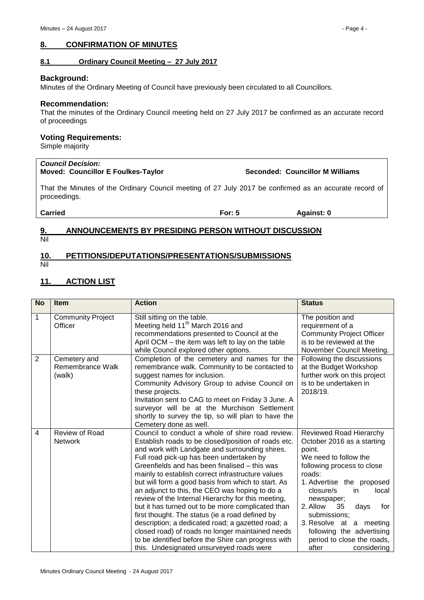# <span id="page-3-0"></span>**8. CONFIRMATION OF MINUTES**

# <span id="page-3-1"></span>**8.1 Ordinary Council Meeting – 27 July 2017**

#### **Background:**

Minutes of the Ordinary Meeting of Council have previously been circulated to all Councillors.

#### **Recommendation:**

That the minutes of the Ordinary Council meeting held on 27 July 2017 be confirmed as an accurate record of proceedings

# **Voting Requirements:**

Simple majority

# *Council Decision:*

# **Moved: Councillor E Foulkes-Taylor Seconded: Councillor M Williams**

That the Minutes of the Ordinary Council meeting of 27 July 2017 be confirmed as an accurate record of proceedings.

**Carried For: 5 Against: 0**

#### <span id="page-3-2"></span>**9. ANNOUNCEMENTS BY PRESIDING PERSON WITHOUT DISCUSSION** Nil

# <span id="page-3-3"></span>**10. PETITIONS/DEPUTATIONS/PRESENTATIONS/SUBMISSIONS**

Nil

# <span id="page-3-4"></span>**11. ACTION LIST**

| <b>No</b>      | <b>Item</b>                                | <b>Action</b>                                                                                                                                                                                                                                                                                                                                                                                                                                                                                                                                                                                                                                                                                                                                                                                 | <b>Status</b>                                                                                                                                                                                                                                                                                                                                                          |
|----------------|--------------------------------------------|-----------------------------------------------------------------------------------------------------------------------------------------------------------------------------------------------------------------------------------------------------------------------------------------------------------------------------------------------------------------------------------------------------------------------------------------------------------------------------------------------------------------------------------------------------------------------------------------------------------------------------------------------------------------------------------------------------------------------------------------------------------------------------------------------|------------------------------------------------------------------------------------------------------------------------------------------------------------------------------------------------------------------------------------------------------------------------------------------------------------------------------------------------------------------------|
| 1              | <b>Community Project</b><br>Officer        | Still sitting on the table.<br>Meeting held 11 <sup>th</sup> March 2016 and<br>recommendations presented to Council at the<br>April OCM - the item was left to lay on the table<br>while Council explored other options.                                                                                                                                                                                                                                                                                                                                                                                                                                                                                                                                                                      | The position and<br>requirement of a<br><b>Community Project Officer</b><br>is to be reviewed at the<br>November Council Meeting.                                                                                                                                                                                                                                      |
| $\overline{2}$ | Cemetery and<br>Remembrance Walk<br>(walk) | Completion of the cemetery and names for the<br>remembrance walk. Community to be contacted to<br>suggest names for inclusion.<br>Community Advisory Group to advise Council on<br>these projects.<br>Invitation sent to CAG to meet on Friday 3 June. A<br>surveyor will be at the Murchison Settlement<br>shortly to survey the tip, so will plan to have the<br>Cemetery done as well.                                                                                                                                                                                                                                                                                                                                                                                                     | Following the discussions<br>at the Budget Workshop<br>further work on this project<br>is to be undertaken in<br>2018/19.                                                                                                                                                                                                                                              |
| 4              | Review of Road<br><b>Network</b>           | Council to conduct a whole of shire road review.<br>Establish roads to be closed/position of roads etc.<br>and work with Landgate and surrounding shires.<br>Full road pick-up has been undertaken by<br>Greenfields and has been finalised – this was<br>mainly to establish correct infrastructure values<br>but will form a good basis from which to start. As<br>an adjunct to this, the CEO was hoping to do a<br>review of the Internal Hierarchy for this meeting,<br>but it has turned out to be more complicated than<br>first thought. The status (ie a road defined by<br>description; a dedicated road; a gazetted road; a<br>closed road) of roads no longer maintained needs<br>to be identified before the Shire can progress with<br>this. Undesignated unsurveyed roads were | Reviewed Road Hierarchy<br>October 2016 as a starting<br>point.<br>We need to follow the<br>following process to close<br>roads:<br>1. Advertise the proposed<br>closure/s<br>in<br>local<br>newspaper;<br>2. Allow<br>35<br>days<br>for<br>submissions;<br>3. Resolve at a meeting<br>following the advertising<br>period to close the roads,<br>after<br>considering |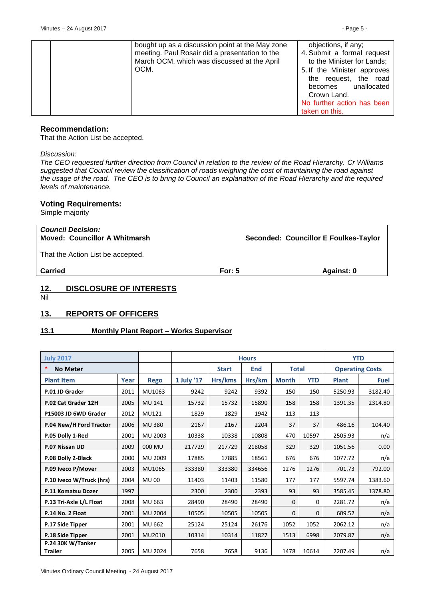| bought up as a discussion point at the May zone<br>objections, if any;<br>meeting. Paul Rosair did a presentation to the<br>4. Submit a formal request<br>March OCM, which was discussed at the April<br>to the Minister for Lands;<br>OCM.<br>5. If the Minister approves<br>the request, the road<br>unallocated<br>becomes<br>Crown Land.<br>No further action has been<br>taken on this. |
|----------------------------------------------------------------------------------------------------------------------------------------------------------------------------------------------------------------------------------------------------------------------------------------------------------------------------------------------------------------------------------------------|

#### **Recommendation:**

That the Action List be accepted.

*Discussion:*

*The CEO requested further direction from Council in relation to the review of the Road Hierarchy. Cr Williams suggested that Council review the classification of roads weighing the cost of maintaining the road against the usage of the road. The CEO is to bring to Council an explanation of the Road Hierarchy and the required levels of maintenance.*

#### **Voting Requirements:**

Simple majority

| <b>Council Decision:</b><br><b>Moved: Councillor A Whitmarsh</b> |          | Seconded: Councillor E Foulkes-Taylor |
|------------------------------------------------------------------|----------|---------------------------------------|
| That the Action List be accepted.                                |          |                                       |
| <b>Carried</b>                                                   | For: $5$ | Against: 0                            |
|                                                                  |          |                                       |

# <span id="page-4-0"></span>**12. DISCLOSURE OF INTERESTS**

Nil

# <span id="page-4-1"></span>**13. REPORTS OF OFFICERS**

# <span id="page-4-2"></span>**13.1 Monthly Plant Report – Works Supervisor**

| <b>July 2017</b>                    |      |                |            | <b>Hours</b>                        | <b>YTD</b> |              |                        |              |             |
|-------------------------------------|------|----------------|------------|-------------------------------------|------------|--------------|------------------------|--------------|-------------|
| *<br><b>No Meter</b>                |      |                |            | <b>Start</b><br><b>Total</b><br>End |            |              | <b>Operating Costs</b> |              |             |
| <b>Plant Item</b>                   | Year | <b>Rego</b>    | 1 July '17 | Hrs/kms                             | Hrs/km     | <b>Month</b> | <b>YTD</b>             | <b>Plant</b> | <b>Fuel</b> |
| P.01 JD Grader                      | 2011 | MU1063         | 9242       | 9242                                | 9392       | 150          | 150                    | 5250.93      | 3182.40     |
| P.02 Cat Grader 12H                 | 2005 | <b>MU 141</b>  | 15732      | 15732                               | 15890      | 158          | 158                    | 1391.35      | 2314.80     |
| P15003 JD 6WD Grader                | 2012 | MU121          | 1829       | 1829                                | 1942       | 113          | 113                    |              |             |
| P.04 New/H Ford Tractor             | 2006 | <b>MU380</b>   | 2167       | 2167                                | 2204       | 37           | 37                     | 486.16       | 104.40      |
| P.05 Dolly 1-Red                    | 2001 | MU 2003        | 10338      | 10338                               | 10808      | 470          | 10597                  | 2505.93      | n/a         |
| P.07 Nissan UD                      | 2009 | 000 MU         | 217729     | 217729                              | 218058     | 329          | 329                    | 1051.56      | 0.00        |
| P.08 Dolly 2-Black                  | 2000 | MU 2009        | 17885      | 17885                               | 18561      | 676          | 676                    | 1077.72      | n/a         |
| P.09 Iveco P/Mover                  | 2003 | MU1065         | 333380     | 333380                              | 334656     | 1276         | 1276                   | 701.73       | 792.00      |
| P.10 Iveco W/Truck (hrs)            | 2004 | <b>MU00</b>    | 11403      | 11403                               | 11580      | 177          | 177                    | 5597.74      | 1383.60     |
| P.11 Komatsu Dozer                  | 1997 |                | 2300       | 2300                                | 2393       | 93           | 93                     | 3585.45      | 1378.80     |
| P.13 Tri-Axle L/L Float             | 2008 | MU 663         | 28490      | 28490                               | 28490      | $\Omega$     | $\Omega$               | 2281.72      | n/a         |
| P.14 No. 2 Float                    | 2001 | <b>MU 2004</b> | 10505      | 10505                               | 10505      | $\mathbf{0}$ | $\mathbf{0}$           | 609.52       | n/a         |
| P.17 Side Tipper                    | 2001 | MU 662         | 25124      | 25124                               | 26176      | 1052         | 1052                   | 2062.12      | n/a         |
| P.18 Side Tipper                    | 2001 | MU2010         | 10314      | 10314                               | 11827      | 1513         | 6998                   | 2079.87      | n/a         |
| P.24 30K W/Tanker<br><b>Trailer</b> | 2005 | MU 2024        | 7658       | 7658                                | 9136       | 1478         | 10614                  | 2207.49      | n/a         |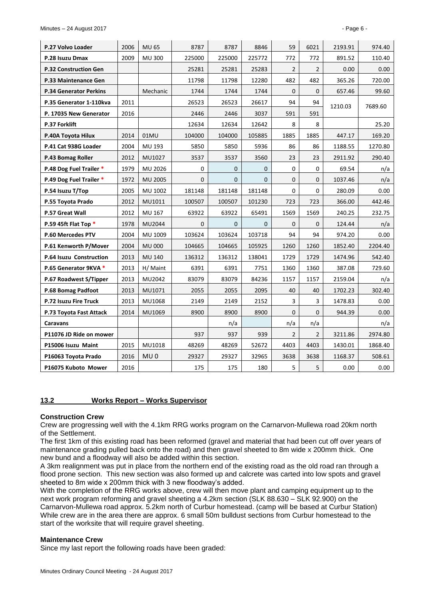| P.27 Volvo Loader             | 2006 | <b>MU 65</b>    | 8787         | 8787         | 8846         | 59             | 6021           | 2193.91 | 974.40  |
|-------------------------------|------|-----------------|--------------|--------------|--------------|----------------|----------------|---------|---------|
| P.28 Isuzu Dmax               | 2009 | <b>MU 300</b>   | 225000       | 225000       | 225772       | 772            | 772            | 891.52  | 110.40  |
| <b>P.32 Construction Gen</b>  |      |                 | 25281        | 25281        | 25283        | $\overline{2}$ | $\overline{2}$ | 0.00    | 0.00    |
| <b>P.33 Maintenance Gen</b>   |      |                 | 11798        | 11798        | 12280        | 482            | 482            | 365.26  | 720.00  |
| <b>P.34 Generator Perkins</b> |      | Mechanic        | 1744         | 1744         | 1744         | $\Omega$       | $\mathbf 0$    | 657.46  | 99.60   |
| P.35 Generator 1-110kva       | 2011 |                 | 26523        | 26523        | 26617        | 94             | 94             | 1210.03 | 7689.60 |
| P. 17035 New Generator        | 2016 |                 | 2446         | 2446         | 3037         | 591            | 591            |         |         |
| P.37 Forklift                 |      |                 | 12634        | 12634        | 12642        | 8              | 8              |         | 25.20   |
| P.40A Toyota Hilux            | 2014 | 01MU            | 104000       | 104000       | 105885       | 1885           | 1885           | 447.17  | 169.20  |
| P.41 Cat 938G Loader          | 2004 | MU 193          | 5850         | 5850         | 5936         | 86             | 86             | 1188.55 | 1270.80 |
| P.43 Bomag Roller             | 2012 | MU1027          | 3537         | 3537         | 3560         | 23             | 23             | 2911.92 | 290.40  |
| P.48 Dog Fuel Trailer *       | 1979 | MU 2026         | $\mathbf 0$  | $\mathbf{0}$ | $\mathbf{0}$ | $\mathbf 0$    | $\mathbf 0$    | 69.54   | n/a     |
| P.49 Dog Fuel Trailer *       | 1972 | <b>MU 2005</b>  | $\mathbf{0}$ | $\mathbf{0}$ | $\Omega$     | $\mathbf{0}$   | $\mathbf 0$    | 1037.46 | n/a     |
| P.54 Isuzu T/Top              | 2005 | MU 1002         | 181148       | 181148       | 181148       | $\Omega$       | $\Omega$       | 280.09  | 0.00    |
| P.55 Toyota Prado             | 2012 | MU1011          | 100507       | 100507       | 101230       | 723            | 723            | 366.00  | 442.46  |
| P.57 Great Wall               | 2012 | MU 167          | 63922        | 63922        | 65491        | 1569           | 1569           | 240.25  | 232.75  |
| P.59 45ft Flat Top *          | 1978 | MU2044          | $\mathbf{0}$ | $\mathbf{0}$ | $\mathbf{0}$ | $\mathbf 0$    | $\mathbf 0$    | 124.44  | n/a     |
| <b>P.60 Mercedes PTV</b>      | 2004 | MU 1009         | 103624       | 103624       | 103718       | 94             | 94             | 974.20  | 0.00    |
| P.61 Kenworth P/Mover         | 2004 | <b>MU 000</b>   | 104665       | 104665       | 105925       | 1260           | 1260           | 1852.40 | 2204.40 |
| P.64 Isuzu Construction       | 2013 | <b>MU 140</b>   | 136312       | 136312       | 138041       | 1729           | 1729           | 1474.96 | 542.40  |
| P.65 Generator 9KVA *         | 2013 | H/ Maint        | 6391         | 6391         | 7751         | 1360           | 1360           | 387.08  | 729.60  |
| P.67 Roadwest S/Tipper        | 2013 | MU2042          | 83079        | 83079        | 84236        | 1157           | 1157           | 2159.04 | n/a     |
| P.68 Bomag Padfoot            | 2013 | MU1071          | 2055         | 2055         | 2095         | 40             | 40             | 1702.23 | 302.40  |
| P.72 Isuzu Fire Truck         | 2013 | MU1068          | 2149         | 2149         | 2152         | 3              | 3              | 1478.83 | 0.00    |
| P.73 Toyota Fast Attack       | 2014 | MU1069          | 8900         | 8900         | 8900         | $\mathbf{0}$   | $\mathbf 0$    | 944.39  | 0.00    |
| Caravans                      |      |                 |              | n/a          |              | n/a            | n/a            |         | n/a     |
| P11076 JD Ride on mower       |      |                 | 937          | 937          | 939          | $\overline{2}$ | $\overline{2}$ | 3211.86 | 2974.80 |
| P15006 Isuzu Maint            | 2015 | MU1018          | 48269        | 48269        | 52672        | 4403           | 4403           | 1430.01 | 1868.40 |
| P16063 Toyota Prado           | 2016 | MU <sub>0</sub> | 29327        | 29327        | 32965        | 3638           | 3638           | 1168.37 | 508.61  |
| P16075 Kuboto Mower           | 2016 |                 | 175          | 175          | 180          | 5              | 5              | 0.00    | 0.00    |

# <span id="page-5-0"></span>**13.2 Works Report – Works Supervisor**

#### **Construction Crew**

Crew are progressing well with the 4.1km RRG works program on the Carnarvon-Mullewa road 20km north of the Settlement.

The first 1km of this existing road has been reformed (gravel and material that had been cut off over years of maintenance grading pulled back onto the road) and then gravel sheeted to 8m wide x 200mm thick. One new bund and a floodway will also be added within this section.

A 3km realignment was put in place from the northern end of the existing road as the old road ran through a flood prone section. This new section was also formed up and calcrete was carted into low spots and gravel sheeted to 8m wide x 200mm thick with 3 new floodway's added.

With the completion of the RRG works above, crew will then move plant and camping equipment up to the next work program reforming and gravel sheeting a 4.2km section (SLK 88.630 – SLK 92.900) on the Carnarvon-Mullewa road approx. 5.2km north of Curbur homestead. (camp will be based at Curbur Station) While crew are in the area there are approx. 6 small 50m bulldust sections from Curbur homestead to the start of the worksite that will require gravel sheeting.

#### **Maintenance Crew**

Since my last report the following roads have been graded: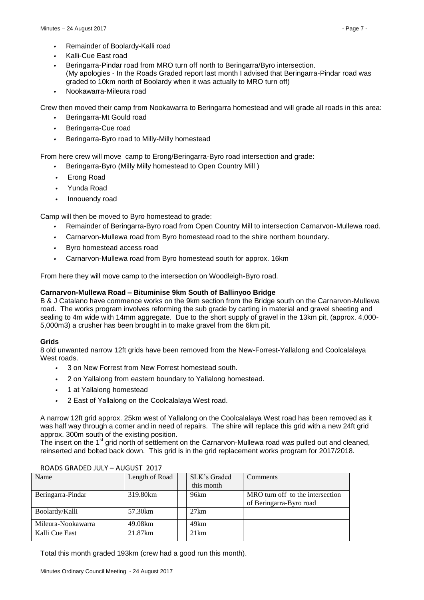- *•* Remainder of Boolardy-Kalli road
- *•* Kalli-Cue East road
- *•* Beringarra-Pindar road from MRO turn off north to Beringarra/Byro intersection. (My apologies - In the Roads Graded report last month I advised that Beringarra-Pindar road was graded to 10km north of Boolardy when it was actually to MRO turn off)
- *•* Nookawarra-Mileura road

Crew then moved their camp from Nookawarra to Beringarra homestead and will grade all roads in this area:

- *•* Beringarra-Mt Gould road
- *•* Beringarra-Cue road
- *•* Beringarra-Byro road to Milly-Milly homestead

From here crew will move camp to Erong/Beringarra-Byro road intersection and grade:

- *•* Beringarra-Byro (Milly Milly homestead to Open Country Mill )
- *•* Erong Road
- *•* Yunda Road
- *•* Innouendy road

Camp will then be moved to Byro homestead to grade:

- *•* Remainder of Beringarra-Byro road from Open Country Mill to intersection Carnarvon-Mullewa road.
- *•* Carnarvon-Mullewa road from Byro homestead road to the shire northern boundary.
- *•* Byro homestead access road
- *•* Carnarvon-Mullewa road from Byro homestead south for approx. 16km

From here they will move camp to the intersection on Woodleigh-Byro road.

# **Carnarvon-Mullewa Road – Bituminise 9km South of Ballinyoo Bridge**

B & J Catalano have commence works on the 9km section from the Bridge south on the Carnarvon-Mullewa road. The works program involves reforming the sub grade by carting in material and gravel sheeting and sealing to 4m wide with 14mm aggregate. Due to the short supply of gravel in the 13km pit, (approx. 4,000- 5,000m3) a crusher has been brought in to make gravel from the 6km pit.

# **Grids**

8 old unwanted narrow 12ft grids have been removed from the New-Forrest-Yallalong and Coolcalalaya West roads.

- *•* 3 on New Forrest from New Forrest homestead south.
- *•* 2 on Yallalong from eastern boundary to Yallalong homestead.
- *•* 1 at Yallalong homestead
- *•* 2 East of Yallalong on the Coolcalalaya West road.

A narrow 12ft grid approx. 25km west of Yallalong on the Coolcalalaya West road has been removed as it was half way through a corner and in need of repairs. The shire will replace this grid with a new 24ft grid approx. 300m south of the existing position.

The insert on the 1<sup>st</sup> grid north of settlement on the Carnarvon-Mullewa road was pulled out and cleaned, reinserted and bolted back down. This grid is in the grid replacement works program for 2017/2018.

| Name               | Length of Road | SLK's Graded | Comments                         |
|--------------------|----------------|--------------|----------------------------------|
|                    |                | this month   |                                  |
| Beringarra-Pindar  | 319.80km       | 96km         | MRO turn off to the intersection |
|                    |                |              | of Beringarra-Byro road          |
| Boolardy/Kalli     | 57.30km        | 27km         |                                  |
| Mileura-Nookawarra | 49.08km        | 49km         |                                  |
| Kalli Cue East     | 21.87km        | 21km         |                                  |

#### ROADS GRADED JULY – AUGUST 2017

Total this month graded 193km (crew had a good run this month).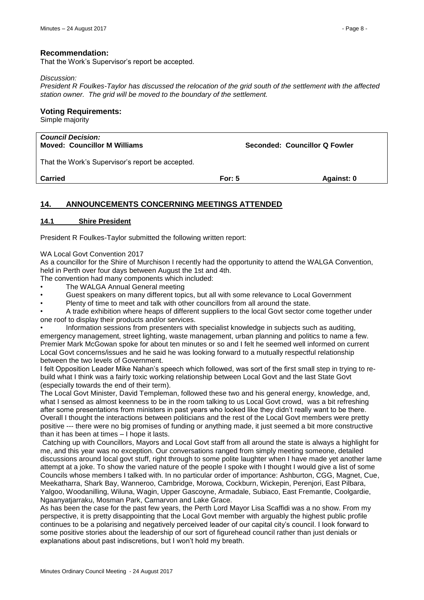That the Work's Supervisor's report be accepted.

#### *Discussion:*

*President R Foulkes-Taylor has discussed the relocation of the grid south of the settlement with the affected station owner. The grid will be moved to the boundary of the settlement.*

#### **Voting Requirements:**

Simple majority

| <b>Council Decision:</b><br><b>Moved: Councillor M Williams</b> | Seconded: Councillor Q Fowler |
|-----------------------------------------------------------------|-------------------------------|
|                                                                 |                               |

That the Work's Supervisor's report be accepted.

**Carried For: 5 Against: 0**

# <span id="page-7-0"></span>**14. ANNOUNCEMENTS CONCERNING MEETINGS ATTENDED**

#### <span id="page-7-1"></span>**14.1 Shire President**

President R Foulkes-Taylor submitted the following written report:

WA Local Govt Convention 2017

As a councillor for the Shire of Murchison I recently had the opportunity to attend the WALGA Convention, held in Perth over four days between August the 1st and 4th.

The convention had many components which included:

- The WALGA Annual General meeting
- Guest speakers on many different topics, but all with some relevance to Local Government
- Plenty of time to meet and talk with other councillors from all around the state.

• A trade exhibition where heaps of different suppliers to the local Govt sector come together under one roof to display their products and/or services.

• Information sessions from presenters with specialist knowledge in subjects such as auditing, emergency management, street lighting, waste management, urban planning and politics to name a few. Premier Mark McGowan spoke for about ten minutes or so and I felt he seemed well informed on current Local Govt concerns/issues and he said he was looking forward to a mutually respectful relationship between the two levels of Government.

I felt Opposition Leader Mike Nahan's speech which followed, was sort of the first small step in trying to rebuild what I think was a fairly toxic working relationship between Local Govt and the last State Govt (especially towards the end of their term).

The Local Govt Minister, David Templeman, followed these two and his general energy, knowledge, and, what I sensed as almost keenness to be in the room talking to us Local Govt crowd, was a bit refreshing after some presentations from ministers in past years who looked like they didn't really want to be there. Overall I thought the interactions between politicians and the rest of the Local Govt members were pretty positive --- there were no big promises of funding or anything made, it just seemed a bit more constructive than it has been at times – I hope it lasts.

Catching up with Councillors, Mayors and Local Govt staff from all around the state is always a highlight for me, and this year was no exception. Our conversations ranged from simply meeting someone, detailed discussions around local govt stuff, right through to some polite laughter when I have made yet another lame attempt at a joke. To show the varied nature of the people I spoke with I thought I would give a list of some Councils whose members I talked with. In no particular order of importance: Ashburton, CGG, Magnet, Cue, Meekatharra, Shark Bay, Wanneroo, Cambridge, Morowa, Cockburn, Wickepin, Perenjori, East Pilbara, Yalgoo, Woodanilling, Wiluna, Wagin, Upper Gascoyne, Armadale, Subiaco, East Fremantle, Coolgardie, Ngaanyatjarraku, Mosman Park, Carnarvon and Lake Grace.

As has been the case for the past few years, the Perth Lord Mayor Lisa Scaffidi was a no show. From my perspective, it is pretty disappointing that the Local Govt member with arguably the highest public profile continues to be a polarising and negatively perceived leader of our capital city's council. I look forward to some positive stories about the leadership of our sort of figurehead council rather than just denials or explanations about past indiscretions, but I won't hold my breath.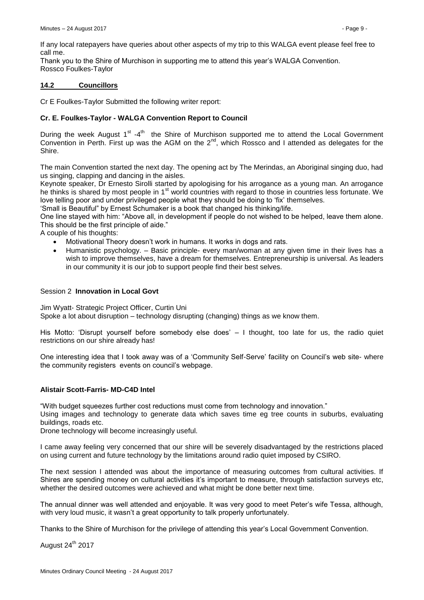If any local ratepayers have queries about other aspects of my trip to this WALGA event please feel free to call me.

Thank you to the Shire of Murchison in supporting me to attend this year's WALGA Convention. Rossco Foulkes-Taylor

#### <span id="page-8-0"></span>**14.2 Councillors**

Cr E Foulkes-Taylor Submitted the following writer report:

# **Cr. E. Foulkes-Taylor - WALGA Convention Report to Council**

During the week August  $1<sup>st</sup> - 4<sup>th</sup>$  the Shire of Murchison supported me to attend the Local Government Convention in Perth. First up was the AGM on the  $2^{nd}$ , which Rossco and I attended as delegates for the Shire.

The main Convention started the next day. The opening act by The Merindas, an Aboriginal singing duo, had us singing, clapping and dancing in the aisles.

Keynote speaker, Dr Ernesto Sirolli started by apologising for his arrogance as a young man. An arrogance he thinks is shared by most people in 1<sup>st</sup> world countries with regard to those in countries less fortunate. We love telling poor and under privileged people what they should be doing to 'fix' themselves.

'Small is Beautiful" by Ernest Schumaker is a book that changed his thinking/life.

One line stayed with him: "Above all, in development if people do not wished to be helped, leave them alone. This should be the first principle of aide."

A couple of his thoughts:

- Motivational Theory doesn't work in humans. It works in dogs and rats.
- Humanistic psychology. Basic principle- every man/woman at any given time in their lives has a wish to improve themselves, have a dream for themselves. Entrepreneurship is universal. As leaders in our community it is our job to support people find their best selves.

#### Session 2 **Innovation in Local Govt**

Jim Wyatt- Strategic Project Officer, Curtin Uni Spoke a lot about disruption – technology disrupting (changing) things as we know them.

His Motto: 'Disrupt yourself before somebody else does' – I thought, too late for us, the radio quiet restrictions on our shire already has!

One interesting idea that I took away was of a 'Community Self-Serve' facility on Council's web site- where the community registers events on council's webpage.

# **Alistair Scott-Farris- MD-C4D Intel**

"With budget squeezes further cost reductions must come from technology and innovation."

Using images and technology to generate data which saves time eg tree counts in suburbs, evaluating buildings, roads etc.

Drone technology will become increasingly useful.

I came away feeling very concerned that our shire will be severely disadvantaged by the restrictions placed on using current and future technology by the limitations around radio quiet imposed by CSIRO.

The next session I attended was about the importance of measuring outcomes from cultural activities. If Shires are spending money on cultural activities it's important to measure, through satisfaction surveys etc, whether the desired outcomes were achieved and what might be done better next time.

The annual dinner was well attended and enjoyable. It was very good to meet Peter's wife Tessa, although, with very loud music, it wasn't a great opportunity to talk properly unfortunately.

Thanks to the Shire of Murchison for the privilege of attending this year's Local Government Convention.

August 24<sup>th</sup> 2017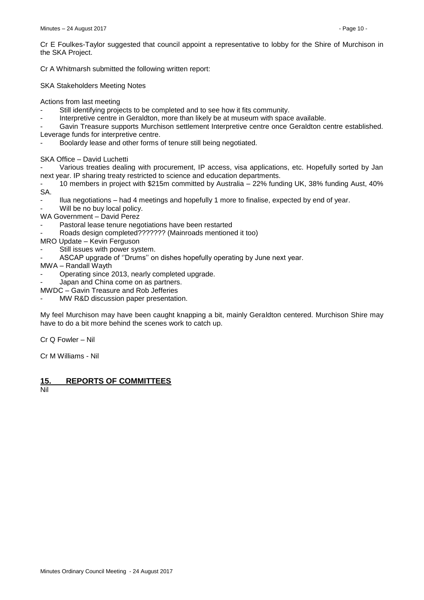Cr A Whitmarsh submitted the following written report:

SKA Stakeholders Meeting Notes

Actions from last meeting

- Still identifying projects to be completed and to see how it fits community.
- Interpretive centre in Geraldton, more than likely be at museum with space available.

Gavin Treasure supports Murchison settlement Interpretive centre once Geraldton centre established.

- Leverage funds for interpretive centre.
- Boolardy lease and other forms of tenure still being negotiated.

SKA Office – David Luchetti

Various treaties dealing with procurement, IP access, visa applications, etc. Hopefully sorted by Jan next year. IP sharing treaty restricted to science and education departments.

- 10 members in project with \$215m committed by Australia – 22% funding UK, 38% funding Aust, 40% SA.

- Ilua negotiations – had 4 meetings and hopefully 1 more to finalise, expected by end of year.

Will be no buy local policy.

WA Government - David Perez

- Pastoral lease tenure negotiations have been restarted
- Roads design completed??????? (Mainroads mentioned it too)
- MRO Update Kevin Ferguson
- Still issues with power system.
- ASCAP upgrade of ''Drums'' on dishes hopefully operating by June next year.
- MWA Randall Wayth
- Operating since 2013, nearly completed upgrade.
- Japan and China come on as partners.
- MWDC Gavin Treasure and Rob Jefferies
- MW R&D discussion paper presentation.

My feel Murchison may have been caught knapping a bit, mainly Geraldton centered. Murchison Shire may have to do a bit more behind the scenes work to catch up.

Cr Q Fowler – Nil

Cr M Williams - Nil

# <span id="page-9-0"></span>**15. REPORTS OF COMMITTEES**

Nil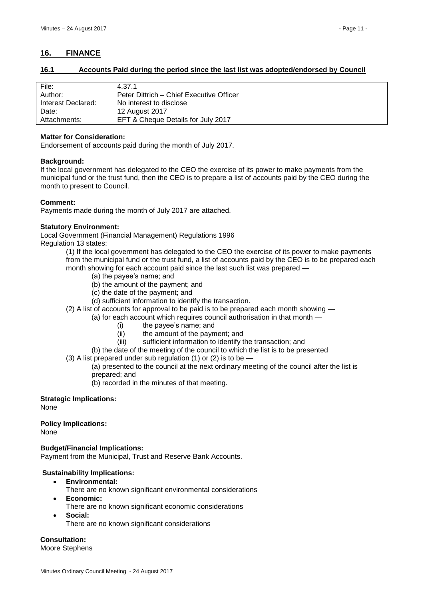# <span id="page-10-0"></span>**16. FINANCE**

# <span id="page-10-1"></span>**16.1 Accounts Paid during the period since the last list was adopted/endorsed by Council**

| File:              | 4.37.1                                   |
|--------------------|------------------------------------------|
| Author:            | Peter Dittrich – Chief Executive Officer |
| Interest Declared: | No interest to disclose                  |
| Date:              | 12 August 2017                           |
| Attachments:       | EFT & Cheque Details for July 2017       |

#### **Matter for Consideration:**

Endorsement of accounts paid during the month of July 2017.

#### **Background:**

If the local government has delegated to the CEO the exercise of its power to make payments from the municipal fund or the trust fund, then the CEO is to prepare a list of accounts paid by the CEO during the month to present to Council.

# **Comment:**

Payments made during the month of July 2017 are attached.

#### **Statutory Environment:**

Local Government (Financial Management) Regulations 1996 Regulation 13 states:

> (1) If the local government has delegated to the CEO the exercise of its power to make payments from the municipal fund or the trust fund, a list of accounts paid by the CEO is to be prepared each month showing for each account paid since the last such list was prepared —

- (a) the payee's name; and
- (b) the amount of the payment; and
- (c) the date of the payment; and
- (d) sufficient information to identify the transaction.
- (2) A list of accounts for approval to be paid is to be prepared each month showing
	- (a) for each account which requires council authorisation in that month
		- (i) the payee's name; and
		- (ii) the amount of the payment; and
		- (iii) sufficient information to identify the transaction; and
		- (b) the date of the meeting of the council to which the list is to be presented
- $(3)$  A list prepared under sub regulation  $(1)$  or  $(2)$  is to be

(a) presented to the council at the next ordinary meeting of the council after the list is prepared; and

(b) recorded in the minutes of that meeting.

# **Strategic Implications:**

None

# **Policy Implications:**

None

# **Budget/Financial Implications:**

Payment from the Municipal, Trust and Reserve Bank Accounts.

# **Sustainability Implications:**

- **Environmental:**
	- There are no known significant environmental considerations
- **Economic:**
	- There are no known significant economic considerations
	- **Social:** There are no known significant considerations

# **Consultation:**

Moore Stephens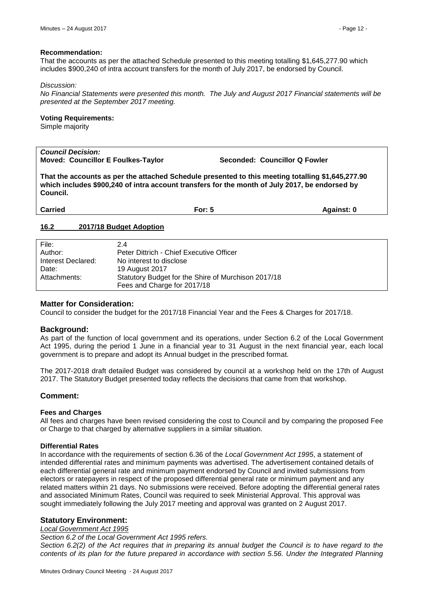#### **Recommendation:**

That the accounts as per the attached Schedule presented to this meeting totalling \$1,645,277.90 which includes \$900,240 of intra account transfers for the month of July 2017, be endorsed by Council.

#### *Discussion:*

*No Financial Statements were presented this month. The July and August 2017 Financial statements will be presented at the September 2017 meeting.*

#### **Voting Requirements:**

Simple majority

#### *Council Decision:* **Moved: Councillor E Foulkes-Taylor Seconded: Councillor Q Fowler**

**That the accounts as per the attached Schedule presented to this meeting totalling \$1,645,277.90 which includes \$900,240 of intra account transfers for the month of July 2017, be endorsed by Council.**

| <b>Carried</b><br>For: 5 | Against: 0 |
|--------------------------|------------|
|--------------------------|------------|

#### <span id="page-11-0"></span>**16.2 2017/18 Budget Adoption**

| File:              | 2.4                                                 |
|--------------------|-----------------------------------------------------|
| Author:            | Peter Dittrich - Chief Executive Officer            |
| Interest Declared: | No interest to disclose                             |
| Date:              | 19 August 2017                                      |
| Attachments:       | Statutory Budget for the Shire of Murchison 2017/18 |
|                    | Fees and Charge for 2017/18                         |

#### **Matter for Consideration:**

Council to consider the budget for the 2017/18 Financial Year and the Fees & Charges for 2017/18.

#### **Background:**

As part of the function of local government and its operations, under Section 6.2 of the Local Government Act 1995, during the period 1 June in a financial year to 31 August in the next financial year, each local government is to prepare and adopt its Annual budget in the prescribed format.

The 2017-2018 draft detailed Budget was considered by council at a workshop held on the 17th of August 2017. The Statutory Budget presented today reflects the decisions that came from that workshop.

# **Comment:**

#### **Fees and Charges**

All fees and charges have been revised considering the cost to Council and by comparing the proposed Fee or Charge to that charged by alternative suppliers in a similar situation.

#### **Differential Rates**

In accordance with the requirements of section 6.36 of the *Local Government Act 1995*, a statement of intended differential rates and minimum payments was advertised. The advertisement contained details of each differential general rate and minimum payment endorsed by Council and invited submissions from electors or ratepayers in respect of the proposed differential general rate or minimum payment and any related matters within 21 days. No submissions were received. Before adopting the differential general rates and associated Minimum Rates, Council was required to seek Ministerial Approval. This approval was sought immediately following the July 2017 meeting and approval was granted on 2 August 2017.

# **Statutory Environment:**

#### *Local Government Act 1995*

*Section 6.2 of the Local Government Act 1995 refers.*

*Section 6.2(2) of the Act requires that in preparing its annual budget the Council is to have regard to the contents of its plan for the future prepared in accordance with section 5.56. Under the Integrated Planning*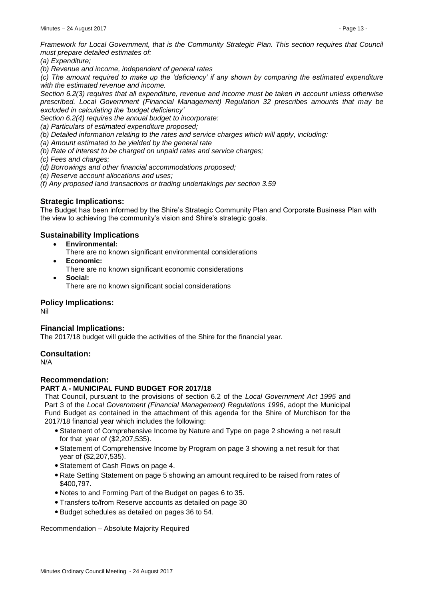*Framework for Local Government, that is the Community Strategic Plan. This section requires that Council must prepare detailed estimates of:*

*(a) Expenditure;*

*(b) Revenue and income, independent of general rates*

*(c) The amount required to make up the 'deficiency' if any shown by comparing the estimated expenditure with the estimated revenue and income.*

*Section 6.2(3) requires that all expenditure, revenue and income must be taken in account unless otherwise prescribed. Local Government (Financial Management) Regulation 32 prescribes amounts that may be excluded in calculating the 'budget deficiency'*

*Section 6.2(4) requires the annual budget to incorporate:*

*(a) Particulars of estimated expenditure proposed;*

*(b) Detailed information relating to the rates and service charges which will apply, including:*

*(a) Amount estimated to be yielded by the general rate*

*(b) Rate of interest to be charged on unpaid rates and service charges;*

*(c) Fees and charges;*

*(d) Borrowings and other financial accommodations proposed;*

*(e) Reserve account allocations and uses;*

*(f) Any proposed land transactions or trading undertakings per section 3.59*

# **Strategic Implications:**

The Budget has been informed by the Shire's Strategic Community Plan and Corporate Business Plan with the view to achieving the community's vision and Shire's strategic goals.

# **Sustainability Implications**

**Environmental:**

There are no known significant environmental considerations

- **Economic:** There are no known significant economic considerations
- **Social:** There are no known significant social considerations

# **Policy Implications:**

Nil

# **Financial Implications:**

The 2017/18 budget will guide the activities of the Shire for the financial year.

# **Consultation:**

N/A

# **Recommendation:**

# **PART A - MUNICIPAL FUND BUDGET FOR 2017/18**

That Council, pursuant to the provisions of section 6.2 of the *Local Government Act 1995* and Part 3 of the *Local Government (Financial Management) Regulations 1996*, adopt the Municipal Fund Budget as contained in the attachment of this agenda for the Shire of Murchison for the 2017/18 financial year which includes the following:

- Statement of Comprehensive Income by Nature and Type on page 2 showing a net result for that year of (\$2,207,535).
- Statement of Comprehensive Income by Program on page 3 showing a net result for that year of (\$2,207,535).
- Statement of Cash Flows on page 4.
- Rate Setting Statement on page 5 showing an amount required to be raised from rates of \$400,797.
- Notes to and Forming Part of the Budget on pages 6 to 35.
- Transfers to/from Reserve accounts as detailed on page 30
- Budget schedules as detailed on pages 36 to 54.

Recommendation – Absolute Majority Required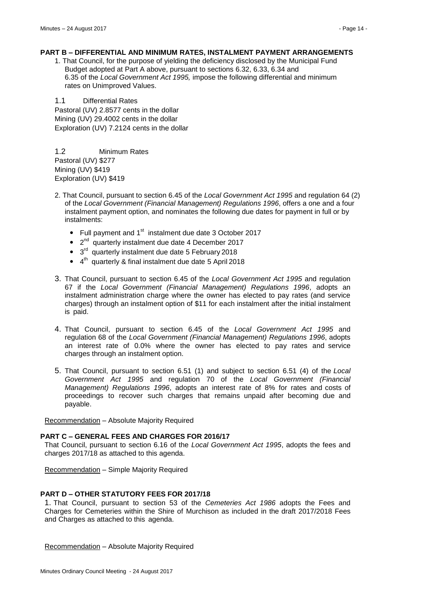## **PART B – DIFFERENTIAL AND MINIMUM RATES, INSTALMENT PAYMENT ARRANGEMENTS**

1. That Council, for the purpose of yielding the deficiency disclosed by the Municipal Fund Budget adopted at Part A above, pursuant to sections 6.32, 6.33, 6.34 and 6.35 of the *Local Government Act 1995,* impose the following differential and minimum rates on Unimproved Values.

1.1 Differential Rates Pastoral (UV) 2.8577 cents in the dollar Mining (UV) 29.4002 cents in the dollar Exploration (UV) 7.2124 cents in the dollar

1.2 Minimum Rates Pastoral (UV) \$277 Mining (UV) \$419 Exploration (UV) \$419

- 2. That Council, pursuant to section 6.45 of the *Local Government Act 1995* and regulation 64 (2) of the *Local Government (Financial Management) Regulations 1996*, offers a one and a four instalment payment option, and nominates the following due dates for payment in full or by instalments:
	- Full payment and  $1<sup>st</sup>$  instalment due date 3 October 2017
	- $\bullet$  2<sup>nd</sup> quarterly instalment due date 4 December 2017
	- $\bullet$  3<sup>rd</sup> quarterly instalment due date 5 February 2018
	- $\bullet$  4<sup>th</sup> quarterly & final instalment due date 5 April 2018
- 3. That Council, pursuant to section 6.45 of the *Local Government Act 1995* and regulation 67 if the *Local Government (Financial Management) Regulations 1996*, adopts an instalment administration charge where the owner has elected to pay rates (and service charges) through an instalment option of \$11 for each instalment after the initial instalment is paid.
- 4. That Council, pursuant to section 6.45 of the *Local Government Act 1995* and regulation 68 of the *Local Government (Financial Management) Regulations 1996*, adopts an interest rate of 0.0% where the owner has elected to pay rates and service charges through an instalment option.
- 5. That Council, pursuant to section 6.51 (1) and subject to section 6.51 (4) of the *Local Government Act 1995* and regulation 70 of the *Local Government (Financial Management) Regulations 1996*, adopts an interest rate of 8% for rates and costs of proceedings to recover such charges that remains unpaid after becoming due and payable.

Recommendation – Absolute Majority Required

#### **PART C – GENERAL FEES AND CHARGES FOR 2016/17**

That Council, pursuant to section 6.16 of the *Local Government Act 1995*, adopts the fees and charges 2017/18 as attached to this agenda.

Recommendation – Simple Majority Required

#### **PART D – OTHER STATUTORY FEES FOR 2017/18**

1. That Council, pursuant to section 53 of the *Cemeteries Act 1986* adopts the Fees and Charges for Cemeteries within the Shire of Murchison as included in the draft 2017/2018 Fees and Charges as attached to this agenda.

Recommendation – Absolute Majority Required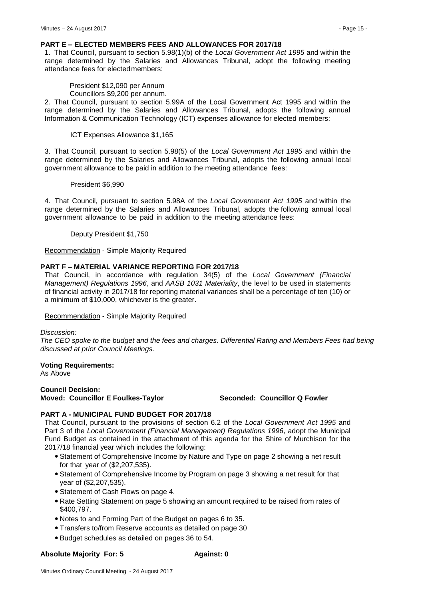#### **PART E – ELECTED MEMBERS FEES AND ALLOWANCES FOR 2017/18**

1. That Council, pursuant to section 5.98(1)(b) of the *Local Government Act 1995* and within the range determined by the Salaries and Allowances Tribunal, adopt the following meeting attendance fees for electedmembers:

President \$12,090 per Annum

Councillors \$9,200 per annum.

2. That Council, pursuant to section 5.99A of the Local Government Act 1995 and within the range determined by the Salaries and Allowances Tribunal, adopts the following annual Information & Communication Technology (ICT) expenses allowance for elected members:

ICT Expenses Allowance \$1,165

3. That Council, pursuant to section 5.98(5) of the *Local Government Act 1995* and within the range determined by the Salaries and Allowances Tribunal, adopts the following annual local government allowance to be paid in addition to the meeting attendance fees:

#### President \$6,990

4. That Council, pursuant to section 5.98A of the *Local Government Act 1995* and within the range determined by the Salaries and Allowances Tribunal, adopts the following annual local government allowance to be paid in addition to the meeting attendance fees:

Deputy President \$1,750

Recommendation - Simple Majority Required

#### **PART F – MATERIAL VARIANCE REPORTING FOR 2017/18**

That Council, in accordance with regulation 34(5) of the *Local Government (Financial Management) Regulations 1996*, and *AASB 1031 Materiality*, the level to be used in statements of financial activity in 2017/18 for reporting material variances shall be a percentage of ten (10) or a minimum of \$10,000, whichever is the greater.

Recommendation - Simple Majority Required

#### *Discussion:*

*The CEO spoke to the budget and the fees and charges. Differential Rating and Members Fees had being discussed at prior Council Meetings.*

#### **Voting Requirements:**

As Above

# **Council Decision: Moved: Councillor E Foulkes-Taylor Seconded: Councillor Q Fowler**

# **PART A - MUNICIPAL FUND BUDGET FOR 2017/18**

That Council, pursuant to the provisions of section 6.2 of the *Local Government Act 1995* and Part 3 of the *Local Government (Financial Management) Regulations 1996*, adopt the Municipal Fund Budget as contained in the attachment of this agenda for the Shire of Murchison for the 2017/18 financial year which includes the following:

- Statement of Comprehensive Income by Nature and Type on page 2 showing a net result for that year of (\$2,207,535).
- Statement of Comprehensive Income by Program on page 3 showing a net result for that year of (\$2,207,535).
- Statement of Cash Flows on page 4.
- Rate Setting Statement on page 5 showing an amount required to be raised from rates of \$400,797.
- Notes to and Forming Part of the Budget on pages 6 to 35.
- Transfers to/from Reserve accounts as detailed on page 30
- Budget schedules as detailed on pages 36 to 54.

#### **Absolute Majority For: 5 Against: 0**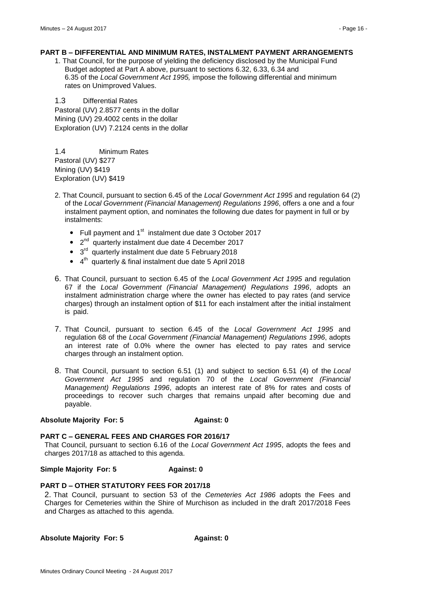#### **PART B – DIFFERENTIAL AND MINIMUM RATES, INSTALMENT PAYMENT ARRANGEMENTS**

1. That Council, for the purpose of yielding the deficiency disclosed by the Municipal Fund Budget adopted at Part A above, pursuant to sections 6.32, 6.33, 6.34 and 6.35 of the *Local Government Act 1995,* impose the following differential and minimum rates on Unimproved Values.

1.3 Differential Rates Pastoral (UV) 2.8577 cents in the dollar Mining (UV) 29.4002 cents in the dollar Exploration (UV) 7.2124 cents in the dollar

1.4 Minimum Rates Pastoral (UV) \$277 Mining (UV) \$419 Exploration (UV) \$419

- 2. That Council, pursuant to section 6.45 of the *Local Government Act 1995* and regulation 64 (2) of the *Local Government (Financial Management) Regulations 1996*, offers a one and a four instalment payment option, and nominates the following due dates for payment in full or by instalments:
	- Full payment and  $1<sup>st</sup>$  instalment due date 3 October 2017
	- $\bullet$  2<sup>nd</sup> quarterly instalment due date 4 December 2017
	- $\bullet$  3<sup>rd</sup> quarterly instalment due date 5 February 2018
	- $\bullet$  4<sup>th</sup> quarterly & final instalment due date 5 April 2018
- 6. That Council, pursuant to section 6.45 of the *Local Government Act 1995* and regulation 67 if the *Local Government (Financial Management) Regulations 1996*, adopts an instalment administration charge where the owner has elected to pay rates (and service charges) through an instalment option of \$11 for each instalment after the initial instalment is paid.
- 7. That Council, pursuant to section 6.45 of the *Local Government Act 1995* and regulation 68 of the *Local Government (Financial Management) Regulations 1996*, adopts an interest rate of 0.0% where the owner has elected to pay rates and service charges through an instalment option.
- 8. That Council, pursuant to section 6.51 (1) and subject to section 6.51 (4) of the *Local Government Act 1995* and regulation 70 of the *Local Government (Financial Management) Regulations 1996*, adopts an interest rate of 8% for rates and costs of proceedings to recover such charges that remains unpaid after becoming due and payable.

#### **Absolute Majority For: 5 Against: 0**

#### **PART C – GENERAL FEES AND CHARGES FOR 2016/17**

That Council, pursuant to section 6.16 of the *Local Government Act 1995*, adopts the fees and charges 2017/18 as attached to this agenda.

**Simple Majority For: 5 Against: 0**

#### **PART D – OTHER STATUTORY FEES FOR 2017/18**

2. That Council, pursuant to section 53 of the *Cemeteries Act 1986* adopts the Fees and Charges for Cemeteries within the Shire of Murchison as included in the draft 2017/2018 Fees and Charges as attached to this agenda.

**Absolute Majority For: 5 Against: 0**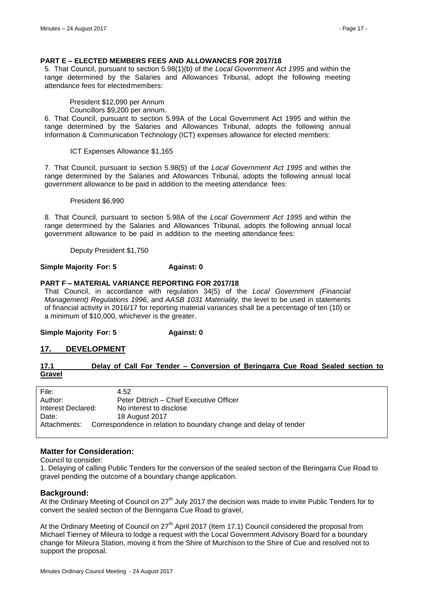#### **PART E – ELECTED MEMBERS FEES AND ALLOWANCES FOR 2017/18**

5. That Council, pursuant to section 5.98(1)(b) of the *Local Government Act 1995* and within the range determined by the Salaries and Allowances Tribunal, adopt the following meeting attendance fees for electedmembers:

President \$12,090 per Annum Councillors \$9,200 per annum.

6. That Council, pursuant to section 5.99A of the Local Government Act 1995 and within the range determined by the Salaries and Allowances Tribunal, adopts the following annual Information & Communication Technology (ICT) expenses allowance for elected members:

ICT Expenses Allowance \$1,165

7. That Council, pursuant to section 5.98(5) of the *Local Government Act 1995* and within the range determined by the Salaries and Allowances Tribunal, adopts the following annual local government allowance to be paid in addition to the meeting attendance fees:

President \$6,990

8. That Council, pursuant to section 5.98A of the *Local Government Act 1995* and within the range determined by the Salaries and Allowances Tribunal, adopts the following annual local government allowance to be paid in addition to the meeting attendance fees:

Deputy President \$1,750

#### **Simple Majority For: 5 Against: 0**

#### **PART F – MATERIAL VARIANCE REPORTING FOR 2017/18**

That Council, in accordance with regulation 34(5) of the *Local Government (Financial Management) Regulations 1996*, and *AASB 1031 Materiality*, the level to be used in statements of financial activity in 2016/17 for reporting material variances shall be a percentage of ten (10) or a minimum of \$10,000, whichever is the greater.

**Simple Majority For: 5 Against: 0**

# <span id="page-16-0"></span>**17. DEVELOPMENT**

# <span id="page-16-1"></span>**17.1 Delay of Call For Tender – Conversion of Beringarra Cue Road Sealed section to Gravel**

| File:              | 4.52                                                              |
|--------------------|-------------------------------------------------------------------|
| Author:            | Peter Dittrich - Chief Executive Officer                          |
| Interest Declared: | No interest to disclose                                           |
| Date:              | 18 August 2017                                                    |
| Attachments:       | Correspondence in relation to boundary change and delay of tender |

# **Matter for Consideration:**

Council to consider:

1. Delaying of calling Public Tenders for the conversion of the sealed section of the Beringarra Cue Road to gravel pending the outcome of a boundary change application.

#### **Background:**

At the Ordinary Meeting of Council on 27<sup>th</sup> July 2017 the decision was made to invite Public Tenders for to convert the sealed section of the Beringarra Cue Road to gravel,

At the Ordinary Meeting of Council on 27<sup>th</sup> April 2017 (Item 17.1) Council considered the proposal from Michael Tierney of Mileura to lodge a request with the Local Government Advisory Board for a boundary change for Mileura Station, moving it from the Shire of Murchison to the Shire of Cue and resolved not to support the proposal.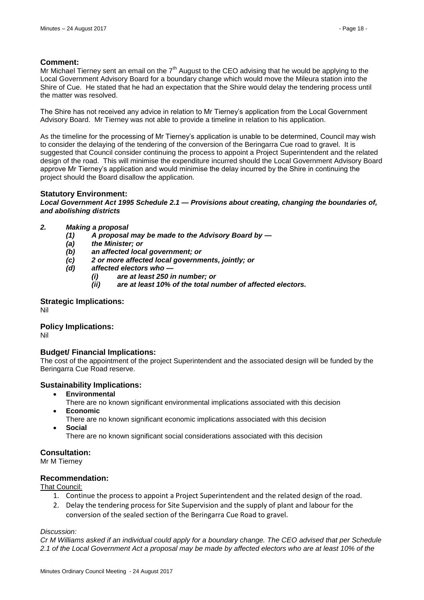# **Comment:**

Mr Michael Tierney sent an email on the  $7<sup>th</sup>$  August to the CEO advising that he would be applying to the Local Government Advisory Board for a boundary change which would move the Mileura station into the Shire of Cue. He stated that he had an expectation that the Shire would delay the tendering process until the matter was resolved.

The Shire has not received any advice in relation to Mr Tierney's application from the Local Government Advisory Board. Mr Tierney was not able to provide a timeline in relation to his application.

As the timeline for the processing of Mr Tierney's application is unable to be determined, Council may wish to consider the delaying of the tendering of the conversion of the Beringarra Cue road to gravel. It is suggested that Council consider continuing the process to appoint a Project Superintendent and the related design of the road. This will minimise the expenditure incurred should the Local Government Advisory Board approve Mr Tierney's application and would minimise the delay incurred by the Shire in continuing the project should the Board disallow the application.

# **Statutory Environment:**

#### *Local Government Act 1995 Schedule 2.1 — Provisions about creating, changing the boundaries of, and abolishing districts*

# *2. Making a proposal*

- *(1) A proposal may be made to the Advisory Board by —*
- *(a) the Minister; or*
- *(b) an affected local government; or*
- *(c) 2 or more affected local governments, jointly; or*
- *(d) affected electors who —*
	- *(i) are at least 250 in number; or*
	- *(ii) are at least 10% of the total number of affected electors.*

# **Strategic Implications:**

Nil

# **Policy Implications:**

Nil

# **Budget/ Financial Implications:**

The cost of the appointment of the project Superintendent and the associated design will be funded by the Beringarra Cue Road reserve.

# **Sustainability Implications:**

- **Environmental**
	- There are no known significant environmental implications associated with this decision
- **Economic**
	- There are no known significant economic implications associated with this decision **Social**
	- There are no known significant social considerations associated with this decision

# **Consultation:**

Mr M Tierney

# **Recommendation:**

That Council:

- 1. Continue the process to appoint a Project Superintendent and the related design of the road.
- 2. Delay the tendering process for Site Supervision and the supply of plant and labour for the conversion of the sealed section of the Beringarra Cue Road to gravel.

#### *Discussion:*

*Cr M Williams asked if an individual could apply for a boundary change. The CEO advised that per Schedule 2.1 of the Local Government Act a proposal may be made by affected electors who are at least 10% of the*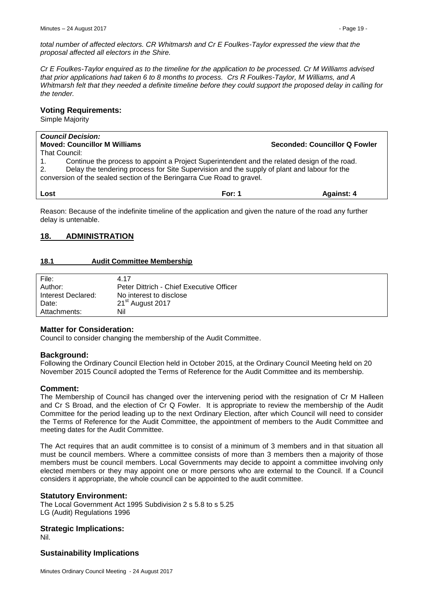*total number of affected electors. CR Whitmarsh and Cr E Foulkes-Taylor expressed the view that the proposal affected all electors in the Shire.*

*Cr E Foulkes-Taylor enquired as to the timeline for the application to be processed. Cr M Williams advised that prior applications had taken 6 to 8 months to process. Crs R Foulkes-Taylor, M Williams, and A Whitmarsh felt that they needed a definite timeline before they could support the proposed delay in calling for the tender.*

#### **Voting Requirements:**

Simple Majority

|                                                                                                   | <b>Council Decision:</b>                                                                     |        |                               |
|---------------------------------------------------------------------------------------------------|----------------------------------------------------------------------------------------------|--------|-------------------------------|
| <b>Moved: Councillor M Williams</b>                                                               |                                                                                              |        | Seconded: Councillor Q Fowler |
| That Council:                                                                                     |                                                                                              |        |                               |
|                                                                                                   | Continue the process to appoint a Project Superintendent and the related design of the road. |        |                               |
| Delay the tendering process for Site Supervision and the supply of plant and labour for the<br>2. |                                                                                              |        |                               |
| conversion of the sealed section of the Beringarra Cue Road to gravel.                            |                                                                                              |        |                               |
|                                                                                                   |                                                                                              |        |                               |
| Lost                                                                                              |                                                                                              | For: 1 | <b>Against: 4</b>             |

Reason: Because of the indefinite timeline of the application and given the nature of the road any further delay is untenable.

# <span id="page-18-0"></span>**18. ADMINISTRATION**

# <span id="page-18-1"></span>**18.1 Audit Committee Membership**

| File:              | 4.17                                     |
|--------------------|------------------------------------------|
| Author:            | Peter Dittrich - Chief Executive Officer |
| Interest Declared: | No interest to disclose                  |
| Date:              | 21 <sup>st</sup> August 2017             |
| Attachments:       | Nil                                      |

# **Matter for Consideration:**

Council to consider changing the membership of the Audit Committee.

# **Background:**

Following the Ordinary Council Election held in October 2015, at the Ordinary Council Meeting held on 20 November 2015 Council adopted the Terms of Reference for the Audit Committee and its membership.

# **Comment:**

The Membership of Council has changed over the intervening period with the resignation of Cr M Halleen and Cr S Broad, and the election of Cr Q Fowler. It is appropriate to review the membership of the Audit Committee for the period leading up to the next Ordinary Election, after which Council will need to consider the Terms of Reference for the Audit Committee, the appointment of members to the Audit Committee and meeting dates for the Audit Committee.

The Act requires that an audit committee is to consist of a minimum of 3 members and in that situation all must be council members. Where a committee consists of more than 3 members then a majority of those members must be council members. Local Governments may decide to appoint a committee involving only elected members or they may appoint one or more persons who are external to the Council. If a Council considers it appropriate, the whole council can be appointed to the audit committee.

# **Statutory Environment:**

The Local Government Act 1995 Subdivision 2 s 5.8 to s 5.25 LG (Audit) Regulations 1996

# **Strategic Implications:**

Nil.

# **Sustainability Implications**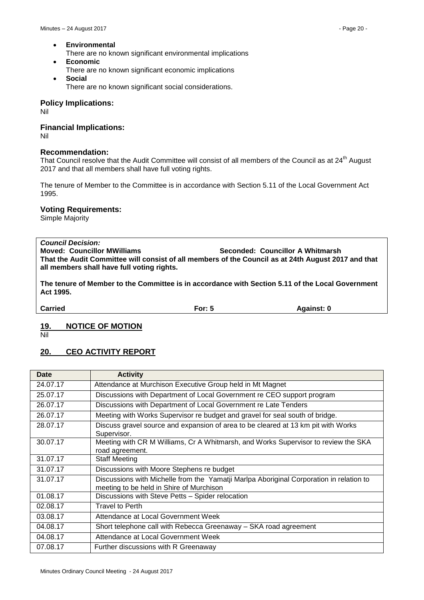- **Environmental** 
	- There are no known significant environmental implications
- **Economic**  There are no known significant economic implications
- **Social**  There are no known significant social considerations.

# **Policy Implications:**

Nil

# **Financial Implications:**

Nil

# **Recommendation:**

That Council resolve that the Audit Committee will consist of all members of the Council as at 24<sup>th</sup> August 2017 and that all members shall have full voting rights.

The tenure of Member to the Committee is in accordance with Section 5.11 of the Local Government Act 1995.

# **Voting Requirements:**

Simple Majority

*Council Decision:* **Moved: Councillor MWilliams Seconded: Councillor A Whitmarsh That the Audit Committee will consist of all members of the Council as at 24th August 2017 and that all members shall have full voting rights.**

**The tenure of Member to the Committee is in accordance with Section 5.11 of the Local Government Act 1995.**

**Carried For: 5 Against: 0**

# <span id="page-19-0"></span>**19. NOTICE OF MOTION**

Nil

# <span id="page-19-1"></span>**20. CEO ACTIVITY REPORT**

| <b>Date</b> | <b>Activity</b>                                                                                                                     |
|-------------|-------------------------------------------------------------------------------------------------------------------------------------|
| 24.07.17    | Attendance at Murchison Executive Group held in Mt Magnet                                                                           |
| 25.07.17    | Discussions with Department of Local Government re CEO support program                                                              |
| 26.07.17    | Discussions with Department of Local Government re Late Tenders                                                                     |
| 26.07.17    | Meeting with Works Supervisor re budget and gravel for seal south of bridge.                                                        |
| 28.07.17    | Discuss gravel source and expansion of area to be cleared at 13 km pit with Works<br>Supervisor.                                    |
| 30.07.17    | Meeting with CR M Williams, Cr A Whitmarsh, and Works Supervisor to review the SKA<br>road agreement.                               |
| 31.07.17    | <b>Staff Meeting</b>                                                                                                                |
| 31.07.17    | Discussions with Moore Stephens re budget                                                                                           |
| 31.07.17    | Discussions with Michelle from the Yamatji Marlpa Aboriginal Corporation in relation to<br>meeting to be held in Shire of Murchison |
| 01.08.17    | Discussions with Steve Petts - Spider relocation                                                                                    |
| 02.08.17    | Travel to Perth                                                                                                                     |
| 03.08.17    | Attendance at Local Government Week                                                                                                 |
| 04.08.17    | Short telephone call with Rebecca Greenaway - SKA road agreement                                                                    |
| 04.08.17    | Attendance at Local Government Week                                                                                                 |
| 07.08.17    | Further discussions with R Greenaway                                                                                                |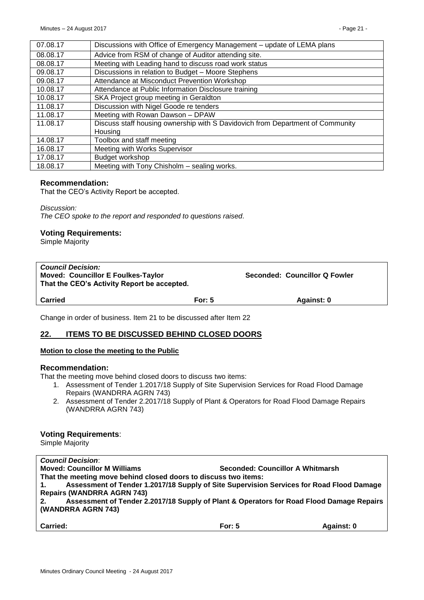| 07.08.17 | Discussions with Office of Emergency Management - update of LEMA plans         |
|----------|--------------------------------------------------------------------------------|
| 08.08.17 | Advice from RSM of change of Auditor attending site.                           |
| 08.08.17 | Meeting with Leading hand to discuss road work status                          |
| 09.08.17 | Discussions in relation to Budget - Moore Stephens                             |
| 09.08.17 | Attendance at Misconduct Prevention Workshop                                   |
| 10.08.17 | Attendance at Public Information Disclosure training                           |
| 10.08.17 | SKA Project group meeting in Geraldton                                         |
| 11.08.17 | Discussion with Nigel Goode re tenders                                         |
| 11.08.17 | Meeting with Rowan Dawson - DPAW                                               |
| 11.08.17 | Discuss staff housing ownership with S Davidovich from Department of Community |
|          | Housing                                                                        |
| 14.08.17 | Toolbox and staff meeting                                                      |
| 16.08.17 | Meeting with Works Supervisor                                                  |
| 17.08.17 | Budget workshop                                                                |
| 18.08.17 | Meeting with Tony Chisholm - sealing works.                                    |

# **Recommendation:**

That the CEO's Activity Report be accepted.

*Discussion: The CEO spoke to the report and responded to questions raised.*

#### **Voting Requirements:**

Simple Majority

| <b>Council Decision:</b><br><b>Moved: Councillor E Foulkes-Taylor</b><br>That the CEO's Activity Report be accepted. |          | Seconded: Councillor Q Fowler |  |  |
|----------------------------------------------------------------------------------------------------------------------|----------|-------------------------------|--|--|
| <b>Carried</b>                                                                                                       | For: $5$ | Against: 0                    |  |  |
|                                                                                                                      |          |                               |  |  |

Change in order of business. Item 21 to be discussed after Item 22

# <span id="page-20-0"></span>**22. ITEMS TO BE DISCUSSED BEHIND CLOSED DOORS**

#### **Motion to close the meeting to the Public**

#### **Recommendation:**

That the meeting move behind closed doors to discuss two items:

- 1. Assessment of Tender 1.2017/18 Supply of Site Supervision Services for Road Flood Damage Repairs (WANDRRA AGRN 743)
- 2. Assessment of Tender 2.2017/18 Supply of Plant & Operators for Road Flood Damage Repairs (WANDRRA AGRN 743)

#### **Voting Requirements**:

Simple Majority

| <b>Council Decision:</b>                                                                       |          |            |  |
|------------------------------------------------------------------------------------------------|----------|------------|--|
| <b>Moved: Councillor M Williams</b><br>Seconded: Councillor A Whitmarsh                        |          |            |  |
| That the meeting move behind closed doors to discuss two items:                                |          |            |  |
| Assessment of Tender 1.2017/18 Supply of Site Supervision Services for Road Flood Damage<br>1. |          |            |  |
| <b>Repairs (WANDRRA AGRN 743)</b>                                                              |          |            |  |
| Assessment of Tender 2.2017/18 Supply of Plant & Operators for Road Flood Damage Repairs<br>2. |          |            |  |
| (WANDRRA AGRN 743)                                                                             |          |            |  |
|                                                                                                |          |            |  |
| <b>Carried:</b>                                                                                | For: $5$ | Against: 0 |  |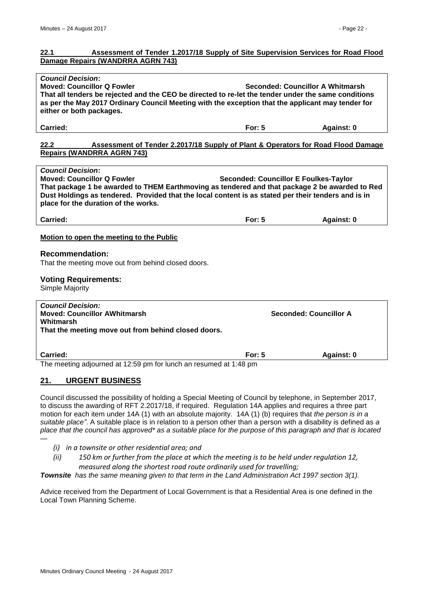## <span id="page-21-0"></span>**22.1 Assessment of Tender 1.2017/18 Supply of Site Supervision Services for Road Flood Damage Repairs (WANDRRA AGRN 743)**

<span id="page-21-1"></span>

| <b>Council Decision:</b><br><b>Moved: Councillor Q Fowler</b><br>Seconded: Councillor A Whitmarsh<br>That all tenders be rejected and the CEO be directed to re-let the tender under the same conditions<br>as per the May 2017 Ordinary Council Meeting with the exception that the applicant may tender for<br>either or both packages. |                                              |                               |  |
|-------------------------------------------------------------------------------------------------------------------------------------------------------------------------------------------------------------------------------------------------------------------------------------------------------------------------------------------|----------------------------------------------|-------------------------------|--|
| Carried:                                                                                                                                                                                                                                                                                                                                  | For: $5$                                     | Against: 0                    |  |
| 22.2<br><b>Assessment of Tender 2.2017/18 Supply of Plant &amp; Operators for Road Flood Damage</b><br><b>Repairs (WANDRRA AGRN 743)</b>                                                                                                                                                                                                  |                                              |                               |  |
| <b>Council Decision:</b><br><b>Moved: Councillor Q Fowler</b><br>That package 1 be awarded to THEM Earthmoving as tendered and that package 2 be awarded to Red<br>Dust Holdings as tendered. Provided that the local content is as stated per their tenders and is in<br>place for the duration of the works.                            | <b>Seconded: Councillor E Foulkes-Taylor</b> |                               |  |
| Carried:                                                                                                                                                                                                                                                                                                                                  | For: $5$                                     | Against: 0                    |  |
| Motion to open the meeting to the Public                                                                                                                                                                                                                                                                                                  |                                              |                               |  |
| <b>Recommendation:</b><br>That the meeting move out from behind closed doors.<br><b>Voting Requirements:</b><br>Simple Majority                                                                                                                                                                                                           |                                              |                               |  |
| <b>Council Decision:</b><br><b>Moved: Councillor AWhitmarsh</b><br>Whitmarsh<br>That the meeting move out from behind closed doors.                                                                                                                                                                                                       |                                              | <b>Seconded: Councillor A</b> |  |
| Carried:                                                                                                                                                                                                                                                                                                                                  | For: $5$                                     | Against: 0                    |  |

The meeting adjourned at 12:59 pm for lunch an resumed at 1:48 pm

# <span id="page-21-2"></span>**21. URGENT BUSINESS**

Council discussed the possibility of holding a Special Meeting of Council by telephone, in September 2017, to discuss the awarding of RFT 2.2017/18, if required. Regulation 14A applies and requires a three part motion for each item under 14A (1) with an absolute majority. 14A (1) (b) requires that *the person is in a suitable place".* A suitable place is in relation to a person other than a person with a disability is defined as *a place that the council has approved\* as a suitable place for the purpose of this paragraph and that is located —* 

- *(i) in a townsite or other residential area; and*
- *(ii) 150 km or further from the place at which the meeting is to be held under regulation 12, measured along the shortest road route ordinarily used for travelling;*

*Townsite has the same meaning given to that term in the Land Administration Act 1997 section 3(1).*

Advice received from the Department of Local Government is that a Residential Area is one defined in the Local Town Planning Scheme.